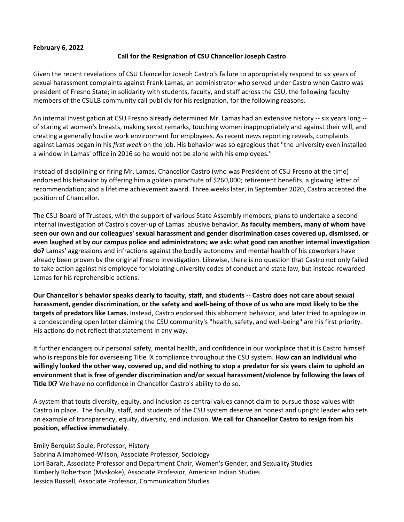## **February 6, 2022**

## **Call for the Resignation of CSU Chancellor Joseph Castro**

Given the recent revelations of CSU Chancellor Joseph Castro's failure to appropriately respond to six years of sexual harassment complaints against Frank Lamas, an administrator who served under Castro when Castro was president of Fresno State; in solidarity with students, faculty, and staff across the CSU, the following faculty members of the CSULB community call publicly for his resignation, for the following reasons.

An internal investigation at CSU Fresno already determined Mr. Lamas had an extensive history -- six years long - of staring at women's breasts, making sexist remarks, touching women inappropriately and against their will, and creating a generally hostile work environment for employees. As recent news reporting reveals, complaints against Lamas began in his *first week* on the job. His behavior was so egregious that "the university even installed a window in Lamas' office in 2016 so he would not be alone with his employees."

Instead of disciplining or firing Mr. Lamas, Chancellor Castro (who was President of CSU Fresno at the time) endorsed his behavior by offering him a golden parachute of \$260,000; retirement benefits; a glowing letter of recommendation; and a lifetime achievement award. Three weeks later, in September 2020, Castro accepted the position of Chancellor.

The CSU Board of Trustees, with the support of various State Assembly members, plans to undertake a second internal investigation of Castro's cover-up of Lamas' abusive behavior. **As faculty members, many of whom have seen our own and our colleagues' sexual harassment and gender discrimination cases covered up, dismissed, or even laughed at by our campus police and administrators; we ask: what good can another internal investigation do?** Lamas' aggressions and infractions against the bodily autonomy and mental health of his coworkers have already been proven by the original Fresno investigation. Likewise, there is no question that Castro not only failed to take action against his employee for violating university codes of conduct and state law, but instead rewarded Lamas for his reprehensible actions.

**Our Chancellor's behavior speaks clearly to faculty, staff, and students -- Castro does not care about sexual harassment, gender discrimination, or the safety and well-being of those of us who are most likely to be the targets of predators like Lamas.** Instead, Castro endorsed this abhorrent behavior, and later tried to apologize in a condescending open letter claiming the CSU community's "health, safety, and well-being" are his first priority. His actions do not reflect that statement in any way.

It further endangers our personal safety, mental health, and confidence in our workplace that it is Castro himself who is responsible for overseeing Title IX compliance throughout the CSU system. **How can an individual who willingly looked the other way, covered up, and did nothing to stop a predator for six years claim to uphold an environment that is free of gender discrimination and/or sexual harassment/violence by following the laws of Title IX?** We have no confidence in Chancellor Castro's ability to do so.

A system that touts diversity, equity, and inclusion as central values cannot claim to pursue those values with Castro in place. The faculty, staff, and students of the CSU system deserve an honest and upright leader who sets an example of transparency, equity, diversity, and inclusion. **We call for Chancellor Castro to resign from his position, effective immediately**.

Emily Berquist Soule, Professor, History

Sabrina Alimahomed-Wilson, Associate Professor, Sociology Lori Baralt, Associate Professor and Department Chair, Women's Gender, and Sexuality Studies Kimberly Robertson (Mvskoke), Associate Professor, American Indian Studies Jessica Russell, Associate Professor, Communication Studies